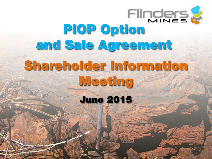# **Flinders &** mflm=léíáçå= and Sale Agreement Shareholder Information Meeting **June 2015**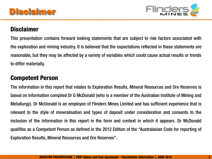

### **Disclaimer**

This presentation contains forward looking statements that are subject to risk factors associated with the exploration and mining industry. It is believed that the expectations reflected in these statements are reasonable, but they may be affected by <sup>a</sup> variety of variables which could cause actual results or trends to differ materially.

### **Competent Person**

The information in this report that relates to Exploration Results, Mineral Resources and Ore Reserves is based on information compiled Dr G McDonald (who is <sup>a</sup> member of the Australian Institute of Mining and Metallurgy). Dr McDonald is an employee of Flinders Mines Limited and has sufficient experience that is relevant to the style of mineralisation and types of deposit under consideration and consents to the inclusion of the information in this report in the form and context in which it appears. Dr McDonald qualifies as <sup>a</sup> Competent Person as defined in the 2012 Edition of the "Australasian Code for reporting of Exploration Results, Mineral Resources and Ore Reserves".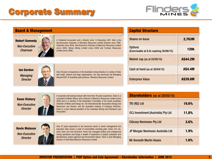

| <b>Board &amp; Management</b>                                  |                                                                                                                                                                  |                                                                                                                                                                                                                                                                                                                             | <b>Capital Structure</b>                                                           |                 |  |  |
|----------------------------------------------------------------|------------------------------------------------------------------------------------------------------------------------------------------------------------------|-----------------------------------------------------------------------------------------------------------------------------------------------------------------------------------------------------------------------------------------------------------------------------------------------------------------------------|------------------------------------------------------------------------------------|-----------------|--|--|
| <b>Robert Kennedy</b>                                          |                                                                                                                                                                  | A Chartered Accountant and a Director since 14 December 2001. Bob is the<br>Non-Executive Chairman of Ramelius Resources Limited (Director since 1995,                                                                                                                                                                      | <b>Shares on Issue</b>                                                             | 2,763M          |  |  |
| <b>Non-Executive</b><br><b>Chairman</b>                        |                                                                                                                                                                  | Chairman since 2004), Non-Executive Chairman of Maximus Resources Limited<br>(since 2004), Monax Mining Limited (since 2004) and Tychean Resources<br>Limited (since 2006).                                                                                                                                                 | <b>Options</b><br>(Exercisable at 8.5c expiring 30/06/15)                          | <b>120k</b>     |  |  |
|                                                                |                                                                                                                                                                  |                                                                                                                                                                                                                                                                                                                             | Market cap (as at 22/05/15)                                                        | <b>A\$44.2M</b> |  |  |
| <b>lan Gordon</b>                                              |                                                                                                                                                                  | Over 25 years of experience in the Australian mining industry in a variety of roles                                                                                                                                                                                                                                         | Cash at hand (as at 30/04/15)                                                      | <b>A\$4.4M</b>  |  |  |
| <b>Managing</b><br><b>Director</b>                             |                                                                                                                                                                  | with small, medium and large organisations. Ian was previously the Managing<br>Director/CEO of Australian gold producer, Ramelius Resources Limited.                                                                                                                                                                        | <b>Enterprise Value</b>                                                            | A\$39.8M        |  |  |
|                                                                | A corporate and business lawyer with more than 40 years experience. Ewan is a<br>consultant at Minter Ellison and a Director of Maximus Resources Limited (since |                                                                                                                                                                                                                                                                                                                             | <b>Shareholders</b> (as at 28/05/15)                                               |                 |  |  |
| <b>Ewan Vickery</b><br><b>Non-Executive</b><br><b>Director</b> |                                                                                                                                                                  | 2004) and is a member of the Exploration Committee of the South Australian<br>Chamber of Mines and Energy Inc, the International Bar Association Energy and<br>Resources Law Section, and the Australian Institute of Company Directors.                                                                                    | TIO (NZ) Ltd                                                                       | 19.6%           |  |  |
|                                                                |                                                                                                                                                                  | Ewan is a past national president of the Australian Mining and Petroleum Law<br>Association.                                                                                                                                                                                                                                | <b>OCJ Investment (Australia) Pty Ltd</b>                                          | 11.8%           |  |  |
|                                                                |                                                                                                                                                                  |                                                                                                                                                                                                                                                                                                                             | <b>Citicorp Nominees Pty Ltd</b>                                                   | 3.6%            |  |  |
| <b>Kevin Malaxos</b><br><b>Non-Executive</b>                   |                                                                                                                                                                  | Over 27 years experience in the resources sector in senior management and<br>executive roles across a suite of commodities including gold, nickel, iron ore,<br>silver, lead, zinc and chromium. Kevin has managed surface and underground<br>mining operations and brings a wealth of experience in project evaluation and | 1.9%<br>JP Morgan Nominees Australia Ltd<br>1.6%<br><b>Mr Kenneth Martin Keane</b> |                 |  |  |
| <b>Director</b>                                                |                                                                                                                                                                  | development, project approval and Government liaison. Kevin is also Managing<br>Director of ASX-listed Maximus Resources Limited.                                                                                                                                                                                           |                                                                                    |                 |  |  |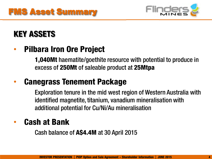



## **KEY ASSETS**

#### •**Pilbara Iron Ore Project**

**1,040Mt** haematite/goethite resource with potential to produce in excess of **250Mt** of saleable product at **25Mtpa**

#### •**Canegrass Tenement Package**

Exploration tenure in the mid west region of Western Australia with identified magnetite, titanium, vanadium mineralisation with additional potential for Cu/Ni/Au mineralisation

#### •**Cash at Bank**

Cash balance of **A\$4.4M** at 30 April 2015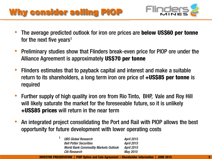# Why consider selling PIOP



- • The average predicted outlook for iron ore prices are **below US\$60 per tonne** for the next five years<sup>1</sup>
- • Preliminary studies show that Flinders break-even price for PIOP ore under the Alliance Agreement is approximately **US\$70 per tonne**
- • Flinders estimates that to payback capital and interest and make a suitable return to its shareholders, a long term iron ore price of **+US\$85 per tonne** is required
- • Further supply of high quality iron ore from Rio Tinto, BHP, Vale and Roy Hill will likely saturate the market for the foreseeable future, so it is unlikely **+US\$85 prices** will return in the near term
- • An integrated project consolidating the Port and Rail with PIOP allows the best opportunity for future development with lower operating costs

| <b>UBS Global Research</b>                  | <b>April 2015</b> |
|---------------------------------------------|-------------------|
| <b>Bell Potter Securities</b>               | <b>April 2015</b> |
| <b>World Bank Commodity Markets Outlook</b> | <b>April 2015</b> |
| Citi Research                               | May 2015          |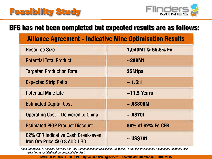

### **BFS has not been completed but expected results are as follows:**

|  |  | <b>Alliance Agreement - Indicative Mine Optimisation Results</b> |
|--|--|------------------------------------------------------------------|
|--|--|------------------------------------------------------------------|

| <b>Resource Size</b>                                               | 1,040Mt @ 55.6% Fe |
|--------------------------------------------------------------------|--------------------|
| <b>Potential Total Product</b>                                     | $\sim$ 288Mt       |
| <b>Targeted Production Rate</b>                                    | 25Mtpa             |
| <b>Expected Strip Ratio</b>                                        | $\sim$ 1.5:1       |
| <b>Potential Mine Life</b>                                         | $\sim$ 11.5 Years  |
| <b>Estimated Capital Cost</b>                                      | $\sim$ AS800M      |
| <b>Operating Cost – Delivered to China</b>                         | $\sim$ A\$70t      |
| <b>Estimated PIOP Product Discount</b>                             | 84% of 62% Fe CFR  |
| 62% CFR Indicative Cash Break-even<br>Iron Ore Price @ 0.8 AUD:USD | $\sim$ US\$70t     |

*Note: Differences in mine life between the Todd Corporation letter released on 29 May 2015 and this Presentation relate to the operating cost reduction associated with a consolidated project.*

**INVESTOR PRESENTATION │ PIOP Option and Sale Agreement – Shareholder Information │ JUNE 2015 6**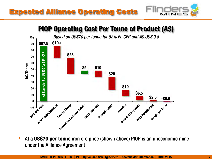



#### **PIOP Operating Cost Per Tonne of Product (A\$)** *Based on US\$70 per tonne for 62% Fe CFR and A\$:US\$ 0.8*100**\$19.1 \$87.5** 9080Equivalent of US\$70 for 62% CFR A\$ Equivalent of US\$70 for 62% CFR **\$25** 7060 **A\$/Tonne \$5 \$10** 50 **\$20** 4030**\$10** 20**\$6.5** 10ဗွ **\$2.5 -\$0.6** 0Price Ouaity Moisture Sequide Grates Revales State of N Payments Margin per Tome Service Charge Port & Rail Fast **REFERENCES** COSTS Price Participation Shipping -10

• At a **US\$70 per tonne** iron ore price (shown above) PIOP is an uneconomic mine under the Alliance Agreement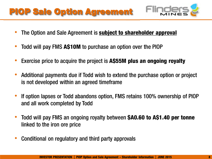# **PIOP Sale Option Agreement**



- •The Option and Sale Agreement is **subject to shareholder approval**
- •Todd will pay FMS **A\$10M** to purchase an option over the PIOP
- •Exercise price to acquire the project is **A\$55M plus an ongoing royalty**
- • Additional payments due if Todd wish to extend the purchase option or project is not developed within an agreed timeframe
- • If option lapses or Todd abandons option, FMS retains 100% ownership of PIOP and all work completed by Todd
- • Todd will pay FMS an ongoing royalty between **\$A0.60 to A\$1.40 per tonne**  linked to the iron ore price
- •Conditional on regulatory and third party approvals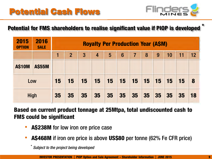

**\***

### **Potential for FMS shareholders to realise significant value if PIOP is developed**

| 2015<br><b>OPTION</b> | 2016<br><b>SALE</b> | <b>Royalty Per Production Year (A\$M)</b> |                |                |                |    |                 |                |           |           |           |           |                  |
|-----------------------|---------------------|-------------------------------------------|----------------|----------------|----------------|----|-----------------|----------------|-----------|-----------|-----------|-----------|------------------|
|                       |                     |                                           | $\overline{2}$ | $\overline{3}$ | $\overline{4}$ | 5  | $6\phantom{1}6$ | $\overline{7}$ | 8         | 9         | 10        | 11        | 12               |
| <b>A\$10M</b>         | <b>A\$55M</b>       |                                           |                |                |                |    |                 |                |           |           |           |           |                  |
| Low                   |                     | 15                                        | 15             | <b>15</b>      | 15             | 15 | 15              | <b>15</b>      | <b>15</b> | <b>15</b> | <b>15</b> | <b>15</b> | $\boldsymbol{8}$ |
| High                  |                     | 35                                        | 35             | 35             | 35             | 35 | 35              | 35             | 35        | 35        | 35        | 35        | 18               |

**Based on current product tonnage at 25Mtpa, total undiscounted cash to FMS could be significant** 

- •**A\$238M** for low iron ore price case
- •**A\$468M** if iron ore price is above **US\$80** per tonne (62% Fe CFR price)

\**Subject to the project being developed*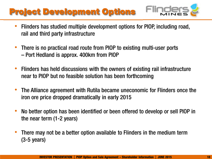# Project Development Options



- $\bullet$  Flinders has studied multiple development options for PIOP, including road, rail and third party infrastructure
- • There is no practical road route from PIOP to existing multi-user ports – Port Hedland is approx. 400km from PIOP
- $\bullet$  Flinders has held discussions with the owners of existing rail infrastructure near to PIOP but no feasible solution has been forthcoming
- • The Alliance agreement with Rutila became uneconomic for Flinders once the iron ore price dropped dramatically in early 2015
- • No better option has been identified or been offered to develop or sell PIOP in the near term (1-2 years)
- • There may not be a better option available to Flinders in the medium term (3-5 years)